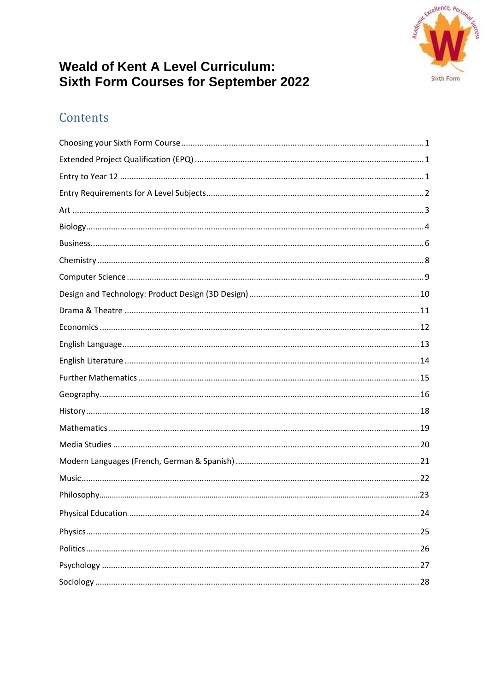

# **Weald of Kent A Level Curriculum:** Sixth Form Courses for September 2022

# Contents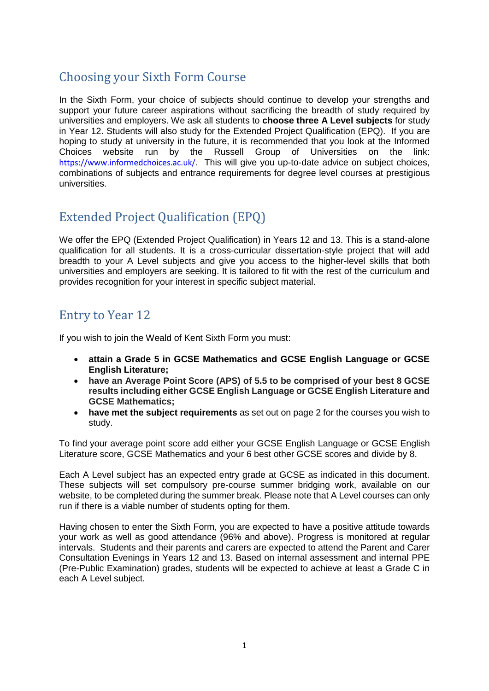## <span id="page-1-0"></span>Choosing your Sixth Form Course

In the Sixth Form, your choice of subjects should continue to develop your strengths and support your future career aspirations without sacrificing the breadth of study required by universities and employers. We ask all students to **choose three A Level subjects** for study in Year 12. Students will also study for the Extended Project Qualification (EPQ). If you are hoping to study at university in the future, it is recommended that you look at the Informed Choices website run by the Russell Group of Universities on the link: <https://www.informedchoices.ac.uk/>. This will give you up-to-date advice on subject choices, combinations of subjects and entrance requirements for degree level courses at prestigious universities.

# <span id="page-1-1"></span>Extended Project Qualification (EPQ)

We offer the EPQ (Extended Project Qualification) in Years 12 and 13. This is a stand-alone qualification for all students. It is a cross-curricular dissertation-style project that will add breadth to your A Level subjects and give you access to the higher-level skills that both universities and employers are seeking. It is tailored to fit with the rest of the curriculum and provides recognition for your interest in specific subject material.

# <span id="page-1-2"></span>Entry to Year 12

If you wish to join the Weald of Kent Sixth Form you must:

- **attain a Grade 5 in GCSE Mathematics and GCSE English Language or GCSE English Literature;**
- **have an Average Point Score (APS) of 5.5 to be comprised of your best 8 GCSE results including either GCSE English Language or GCSE English Literature and GCSE Mathematics;**
- **have met the subject requirements** as set out on page 2 for the courses you wish to study.

To find your average point score add either your GCSE English Language or GCSE English Literature score, GCSE Mathematics and your 6 best other GCSE scores and divide by 8.

Each A Level subject has an expected entry grade at GCSE as indicated in this document. These subjects will set compulsory pre-course summer bridging work, available on our website, to be completed during the summer break. Please note that A Level courses can only run if there is a viable number of students opting for them.

Having chosen to enter the Sixth Form, you are expected to have a positive attitude towards your work as well as good attendance (96% and above). Progress is monitored at regular intervals. Students and their parents and carers are expected to attend the Parent and Carer Consultation Evenings in Years 12 and 13. Based on internal assessment and internal PPE (Pre-Public Examination) grades, students will be expected to achieve at least a Grade C in each A Level subject.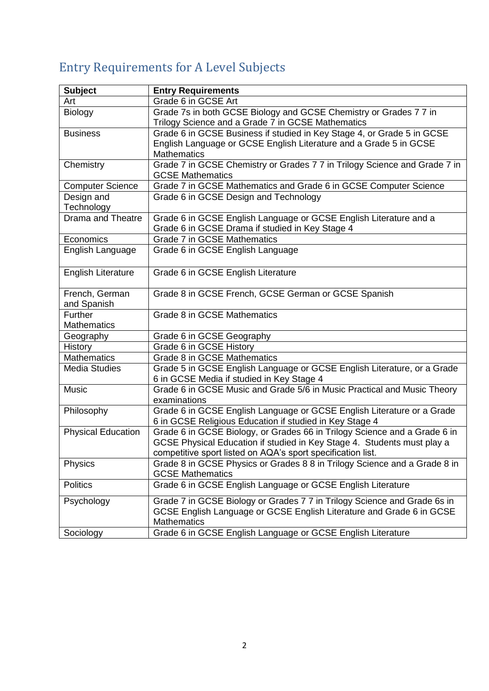# <span id="page-2-0"></span>Entry Requirements for A Level Subjects

| <b>Subject</b>                | <b>Entry Requirements</b>                                                                                                                                                                                           |
|-------------------------------|---------------------------------------------------------------------------------------------------------------------------------------------------------------------------------------------------------------------|
| Art                           | Grade 6 in GCSE Art                                                                                                                                                                                                 |
| Biology                       | Grade 7s in both GCSE Biology and GCSE Chemistry or Grades 7 7 in<br>Trilogy Science and a Grade 7 in GCSE Mathematics                                                                                              |
| <b>Business</b>               | Grade 6 in GCSE Business if studied in Key Stage 4, or Grade 5 in GCSE<br>English Language or GCSE English Literature and a Grade 5 in GCSE<br><b>Mathematics</b>                                                   |
| Chemistry                     | Grade 7 in GCSE Chemistry or Grades 7 7 in Trilogy Science and Grade 7 in<br><b>GCSE Mathematics</b>                                                                                                                |
| <b>Computer Science</b>       | Grade 7 in GCSE Mathematics and Grade 6 in GCSE Computer Science                                                                                                                                                    |
| Design and<br>Technology      | Grade 6 in GCSE Design and Technology                                                                                                                                                                               |
| <b>Drama and Theatre</b>      | Grade 6 in GCSE English Language or GCSE English Literature and a<br>Grade 6 in GCSE Drama if studied in Key Stage 4                                                                                                |
| Economics                     | <b>Grade 7 in GCSE Mathematics</b>                                                                                                                                                                                  |
| English Language              | Grade 6 in GCSE English Language                                                                                                                                                                                    |
| <b>English Literature</b>     | Grade 6 in GCSE English Literature                                                                                                                                                                                  |
| French, German<br>and Spanish | Grade 8 in GCSE French, GCSE German or GCSE Spanish                                                                                                                                                                 |
| Further<br><b>Mathematics</b> | Grade 8 in GCSE Mathematics                                                                                                                                                                                         |
| Geography                     | Grade 6 in GCSE Geography                                                                                                                                                                                           |
| History                       | Grade 6 in GCSE History                                                                                                                                                                                             |
| <b>Mathematics</b>            | Grade 8 in GCSE Mathematics                                                                                                                                                                                         |
| <b>Media Studies</b>          | Grade 5 in GCSE English Language or GCSE English Literature, or a Grade<br>6 in GCSE Media if studied in Key Stage 4                                                                                                |
| <b>Music</b>                  | Grade 6 in GCSE Music and Grade 5/6 in Music Practical and Music Theory<br>examinations                                                                                                                             |
| Philosophy                    | Grade 6 in GCSE English Language or GCSE English Literature or a Grade<br>6 in GCSE Religious Education if studied in Key Stage 4                                                                                   |
| <b>Physical Education</b>     | Grade 6 in GCSE Biology, or Grades 66 in Trilogy Science and a Grade 6 in<br>GCSE Physical Education if studied in Key Stage 4. Students must play a<br>competitive sport listed on AQA's sport specification list. |
| <b>Physics</b>                | Grade 8 in GCSE Physics or Grades 8 8 in Trilogy Science and a Grade 8 in<br><b>GCSE Mathematics</b>                                                                                                                |
| <b>Politics</b>               | Grade 6 in GCSE English Language or GCSE English Literature                                                                                                                                                         |
| Psychology                    | Grade 7 in GCSE Biology or Grades 7 7 in Trilogy Science and Grade 6s in<br>GCSE English Language or GCSE English Literature and Grade 6 in GCSE<br><b>Mathematics</b>                                              |
| Sociology                     | Grade 6 in GCSE English Language or GCSE English Literature                                                                                                                                                         |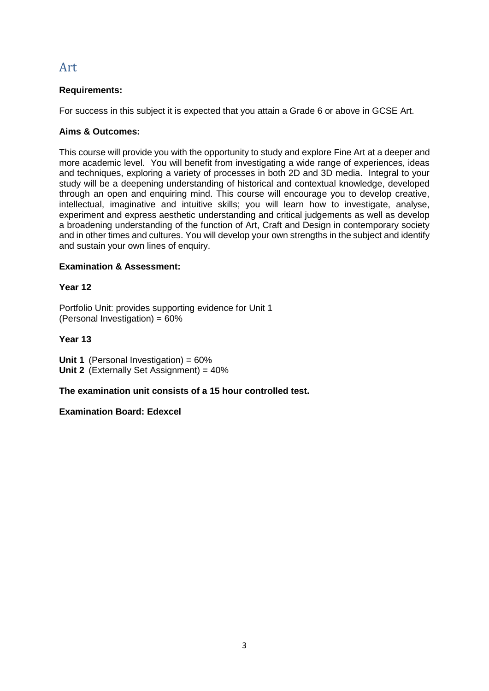## <span id="page-3-0"></span>Art

## **Requirements:**

For success in this subject it is expected that you attain a Grade 6 or above in GCSE Art.

## **Aims & Outcomes:**

This course will provide you with the opportunity to study and explore Fine Art at a deeper and more academic level. You will benefit from investigating a wide range of experiences, ideas and techniques, exploring a variety of processes in both 2D and 3D media. Integral to your study will be a deepening understanding of historical and contextual knowledge, developed through an open and enquiring mind. This course will encourage you to develop creative, intellectual, imaginative and intuitive skills; you will learn how to investigate, analyse, experiment and express aesthetic understanding and critical judgements as well as develop a broadening understanding of the function of Art, Craft and Design in contemporary society and in other times and cultures. You will develop your own strengths in the subject and identify and sustain your own lines of enquiry.

## **Examination & Assessment:**

## **Year 12**

Portfolio Unit: provides supporting evidence for Unit 1 (Personal Investigation) =  $60\%$ 

## **Year 13**

**Unit 1** (Personal Investigation) = 60% **Unit 2** (Externally Set Assignment) = 40%

**The examination unit consists of a 15 hour controlled test.**

## **Examination Board: Edexcel**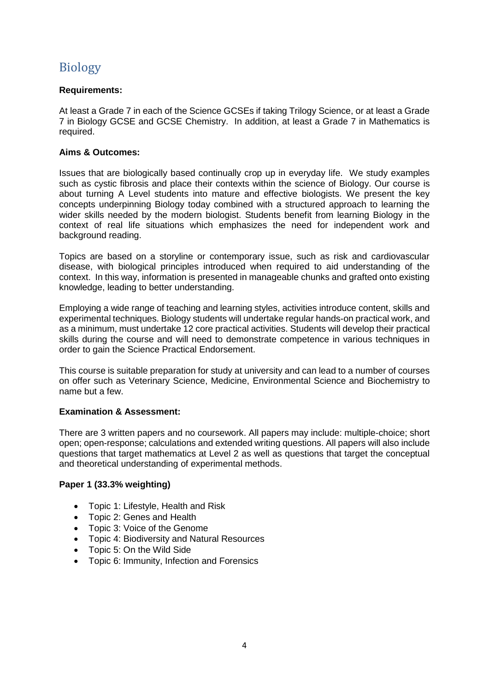## <span id="page-4-0"></span>Biology

### **Requirements:**

At least a Grade 7 in each of the Science GCSEs if taking Trilogy Science, or at least a Grade 7 in Biology GCSE and GCSE Chemistry. In addition, at least a Grade 7 in Mathematics is required.

#### **Aims & Outcomes:**

Issues that are biologically based continually crop up in everyday life. We study examples such as cystic fibrosis and place their contexts within the science of Biology. Our course is about turning A Level students into mature and effective biologists. We present the key concepts underpinning Biology today combined with a structured approach to learning the wider skills needed by the modern biologist. Students benefit from learning Biology in the context of real life situations which emphasizes the need for independent work and background reading.

Topics are based on a storyline or contemporary issue, such as risk and cardiovascular disease, with biological principles introduced when required to aid understanding of the context. In this way, information is presented in manageable chunks and grafted onto existing knowledge, leading to better understanding.

Employing a wide range of teaching and learning styles, activities introduce content, skills and experimental techniques. Biology students will undertake regular hands-on practical work, and as a minimum, must undertake 12 core practical activities. Students will develop their practical skills during the course and will need to demonstrate competence in various techniques in order to gain the Science Practical Endorsement.

This course is suitable preparation for study at university and can lead to a number of courses on offer such as Veterinary Science, Medicine, Environmental Science and Biochemistry to name but a few.

#### **Examination & Assessment:**

There are 3 written papers and no coursework. All papers may include: multiple-choice; short open; open-response; calculations and extended writing questions. All papers will also include questions that target mathematics at Level 2 as well as questions that target the conceptual and theoretical understanding of experimental methods.

## **Paper 1 (33.3% weighting)**

- Topic 1: Lifestyle, Health and Risk
- Topic 2: Genes and Health
- Topic 3: Voice of the Genome
- Topic 4: Biodiversity and Natural Resources
- Topic 5: On the Wild Side
- Topic 6: Immunity, Infection and Forensics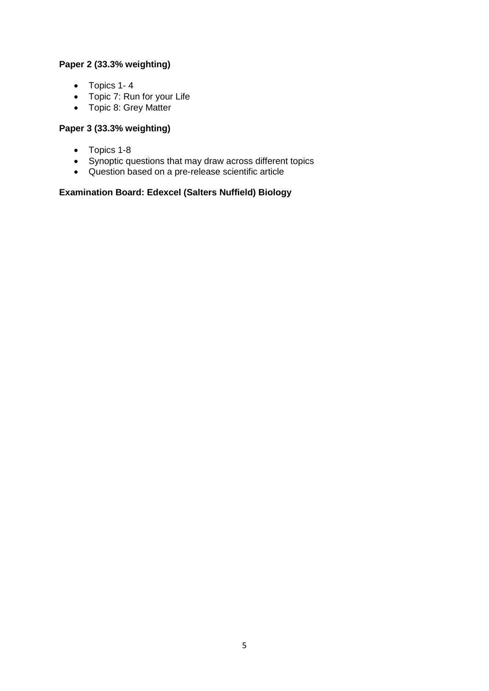## **Paper 2 (33.3% weighting)**

- $\bullet$  Topics 1-4
- Topic 7: Run for your Life
- Topic 8: Grey Matter

## **Paper 3 (33.3% weighting)**

- Topics 1-8
- Synoptic questions that may draw across different topics
- Question based on a pre-release scientific article

## **Examination Board: Edexcel (Salters Nuffield) Biology**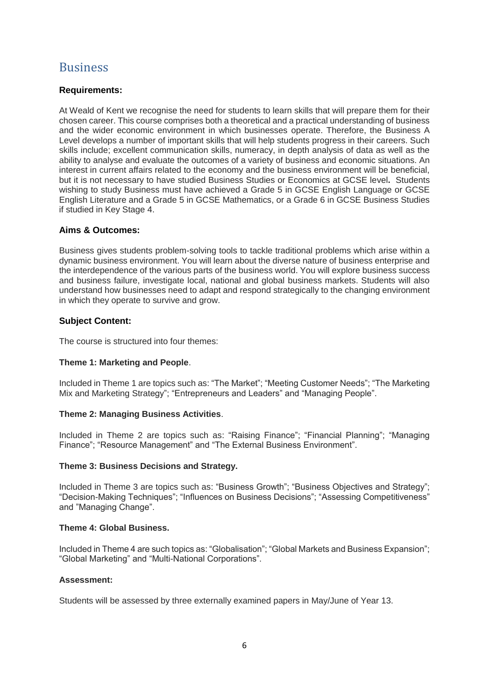## <span id="page-6-0"></span>Business

#### **Requirements:**

At Weald of Kent we recognise the need for students to learn skills that will prepare them for their chosen career. This course comprises both a theoretical and a practical understanding of business and the wider economic environment in which businesses operate. Therefore, the Business A Level develops a number of important skills that will help students progress in their careers. Such skills include; excellent communication skills, numeracy, in depth analysis of data as well as the ability to analyse and evaluate the outcomes of a variety of business and economic situations. An interest in current affairs related to the economy and the business environment will be beneficial, but it is not necessary to have studied Business Studies or Economics at GCSE level**.** Students wishing to study Business must have achieved a Grade 5 in GCSE English Language or GCSE English Literature and a Grade 5 in GCSE Mathematics, or a Grade 6 in GCSE Business Studies if studied in Key Stage 4.

#### **Aims & Outcomes:**

Business gives students problem-solving tools to tackle traditional problems which arise within a dynamic business environment. You will learn about the diverse nature of business enterprise and the interdependence of the various parts of the business world. You will explore business success and business failure, investigate local, national and global business markets. Students will also understand how businesses need to adapt and respond strategically to the changing environment in which they operate to survive and grow.

#### **Subject Content:**

The course is structured into four themes:

#### **Theme 1: Marketing and People**.

Included in Theme 1 are topics such as: "The Market"; "Meeting Customer Needs"; "The Marketing Mix and Marketing Strategy"; "Entrepreneurs and Leaders" and "Managing People".

#### **Theme 2: Managing Business Activities**.

Included in Theme 2 are topics such as: "Raising Finance"; "Financial Planning"; "Managing Finance"; "Resource Management" and "The External Business Environment".

#### **Theme 3: Business Decisions and Strategy.**

Included in Theme 3 are topics such as: "Business Growth"; "Business Objectives and Strategy"; "Decision-Making Techniques"; "Influences on Business Decisions"; "Assessing Competitiveness" and "Managing Change".

#### **Theme 4: Global Business.**

Included in Theme 4 are such topics as: "Globalisation"; "Global Markets and Business Expansion"; "Global Marketing" and "Multi-National Corporations".

#### **Assessment:**

Students will be assessed by three externally examined papers in May/June of Year 13.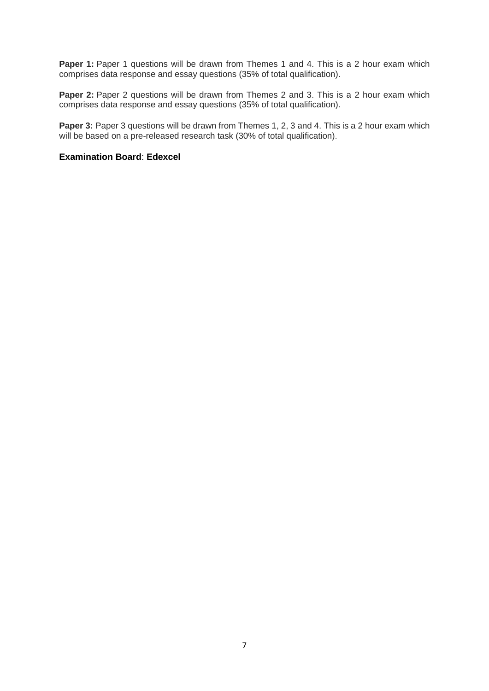**Paper 1:** Paper 1 questions will be drawn from Themes 1 and 4. This is a 2 hour exam which comprises data response and essay questions (35% of total qualification).

**Paper 2:** Paper 2 questions will be drawn from Themes 2 and 3. This is a 2 hour exam which comprises data response and essay questions (35% of total qualification).

**Paper 3:** Paper 3 questions will be drawn from Themes 1, 2, 3 and 4. This is a 2 hour exam which will be based on a pre-released research task (30% of total qualification).

#### **Examination Board**: **Edexcel**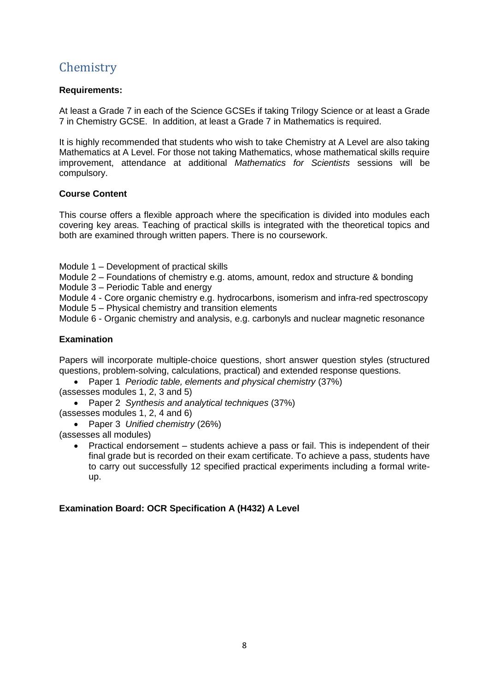# <span id="page-8-0"></span>**Chemistry**

### **Requirements:**

At least a Grade 7 in each of the Science GCSEs if taking Trilogy Science or at least a Grade 7 in Chemistry GCSE. In addition, at least a Grade 7 in Mathematics is required.

It is highly recommended that students who wish to take Chemistry at A Level are also taking Mathematics at A Level. For those not taking Mathematics, whose mathematical skills require improvement, attendance at additional *Mathematics for Scientists* sessions will be compulsory.

#### **Course Content**

This course offers a flexible approach where the specification is divided into modules each covering key areas. Teaching of practical skills is integrated with the theoretical topics and both are examined through written papers. There is no coursework.

- Module 1 Development of practical skills
- Module 2 Foundations of chemistry e.g. atoms, amount, redox and structure & bonding
- Module 3 Periodic Table and energy
- Module 4 Core organic chemistry e.g. hydrocarbons, isomerism and infra-red spectroscopy
- Module 5 Physical chemistry and transition elements
- Module 6 Organic chemistry and analysis, e.g. carbonyls and nuclear magnetic resonance

## **Examination**

Papers will incorporate multiple-choice questions, short answer question styles (structured questions, problem-solving, calculations, practical) and extended response questions.

Paper 1 *Periodic table, elements and physical chemistry* (37%)

(assesses modules 1, 2, 3 and 5)

Paper 2 *Synthesis and analytical techniques* (37%)

(assesses modules 1, 2, 4 and 6)

Paper 3 *Unified chemistry* (26%)

(assesses all modules)

 Practical endorsement – students achieve a pass or fail. This is independent of their final grade but is recorded on their exam certificate. To achieve a pass, students have to carry out successfully 12 specified practical experiments including a formal writeup.

#### **Examination Board: OCR Specification A (H432) A Level**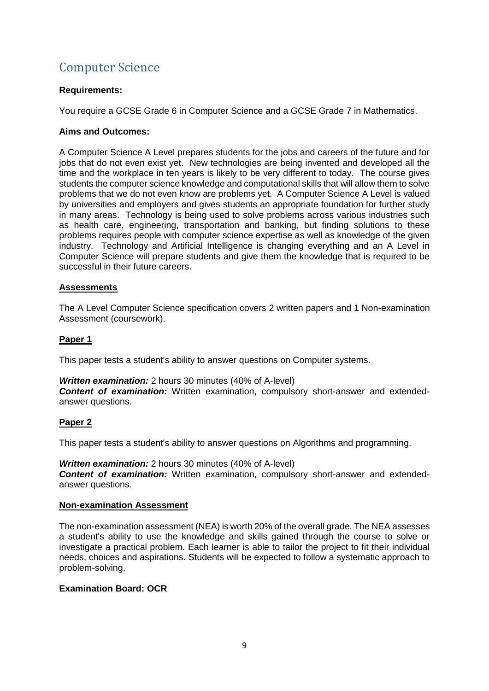# <span id="page-9-0"></span>Computer Science

#### **Requirements:**

You require a GCSE Grade 6 in Computer Science and a GCSE Grade 7 in Mathematics.

## **Aims and Outcomes:**

A Computer Science A Level prepares students for the jobs and careers of the future and for jobs that do not even exist yet. New technologies are being invented and developed all the time and the workplace in ten years is likely to be very different to today. The course gives students the computer science knowledge and computational skills that will allow them to solve problems that we do not even know are problems yet. A Computer Science A Level is valued by universities and employers and gives students an appropriate foundation for further study in many areas. Technology is being used to solve problems across various industries such as health care, engineering, transportation and banking, but finding solutions to these problems requires people with computer science expertise as well as knowledge of the given industry. Technology and Artificial Intelligence is changing everything and an A Level in Computer Science will prepare students and give them the knowledge that is required to be successful in their future careers.

## **Assessments**

The A Level Computer Science specification covers 2 written papers and 1 Non-examination Assessment (coursework).

## **Paper 1**

This paper tests a student's ability to answer questions on Computer systems.

#### *Written examination:* 2 hours 30 minutes (40% of A-level)

**Content of examination:** Written examination, compulsory short-answer and extendedanswer questions.

#### **Paper 2**

This paper tests a student's ability to answer questions on Algorithms and programming.

#### *Written examination:* 2 hours 30 minutes (40% of A-level)

**Content of examination:** Written examination, compulsory short-answer and extendedanswer questions.

#### **Non-examination Assessment**

The non-examination assessment (NEA) is worth 20% of the overall grade. The NEA assesses a student's ability to use the knowledge and skills gained through the course to solve or investigate a practical problem. Each learner is able to tailor the project to fit their individual needs, choices and aspirations. Students will be expected to follow a systematic approach to problem-solving.

#### **Examination Board: OCR**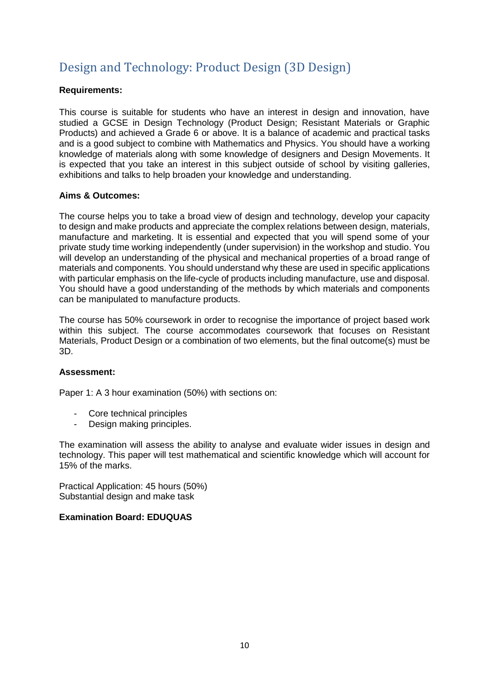# <span id="page-10-0"></span>Design and Technology: Product Design (3D Design)

#### **Requirements:**

This course is suitable for students who have an interest in design and innovation, have studied a GCSE in Design Technology (Product Design; Resistant Materials or Graphic Products) and achieved a Grade 6 or above. It is a balance of academic and practical tasks and is a good subject to combine with Mathematics and Physics. You should have a working knowledge of materials along with some knowledge of designers and Design Movements. It is expected that you take an interest in this subject outside of school by visiting galleries, exhibitions and talks to help broaden your knowledge and understanding.

## **Aims & Outcomes:**

The course helps you to take a broad view of design and technology, develop your capacity to design and make products and appreciate the complex relations between design, materials, manufacture and marketing. It is essential and expected that you will spend some of your private study time working independently (under supervision) in the workshop and studio. You will develop an understanding of the physical and mechanical properties of a broad range of materials and components. You should understand why these are used in specific applications with particular emphasis on the life-cycle of products including manufacture, use and disposal. You should have a good understanding of the methods by which materials and components can be manipulated to manufacture products.

The course has 50% coursework in order to recognise the importance of project based work within this subject. The course accommodates coursework that focuses on Resistant Materials, Product Design or a combination of two elements, but the final outcome(s) must be 3D.

#### **Assessment:**

Paper 1: A 3 hour examination (50%) with sections on:

- Core technical principles
- Design making principles.

The examination will assess the ability to analyse and evaluate wider issues in design and technology. This paper will test mathematical and scientific knowledge which will account for 15% of the marks.

Practical Application: 45 hours (50%) Substantial design and make task

## **Examination Board: EDUQUAS**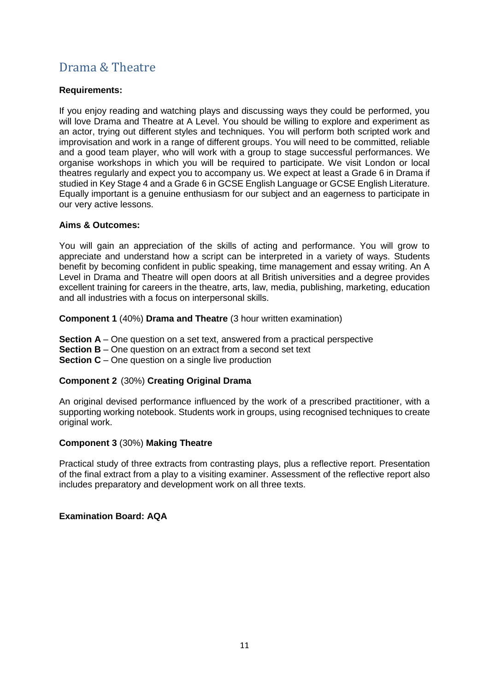## <span id="page-11-0"></span>Drama & Theatre

## **Requirements:**

If you enjoy reading and watching plays and discussing ways they could be performed, you will love Drama and Theatre at A Level. You should be willing to explore and experiment as an actor, trying out different styles and techniques. You will perform both scripted work and improvisation and work in a range of different groups. You will need to be committed, reliable and a good team player, who will work with a group to stage successful performances. We organise workshops in which you will be required to participate. We visit London or local theatres regularly and expect you to accompany us. We expect at least a Grade 6 in Drama if studied in Key Stage 4 and a Grade 6 in GCSE English Language or GCSE English Literature. Equally important is a genuine enthusiasm for our subject and an eagerness to participate in our very active lessons.

## **Aims & Outcomes:**

You will gain an appreciation of the skills of acting and performance. You will grow to appreciate and understand how a script can be interpreted in a variety of ways. Students benefit by becoming confident in public speaking, time management and essay writing. An A Level in Drama and Theatre will open doors at all British universities and a degree provides excellent training for careers in the theatre, arts, law, media, publishing, marketing, education and all industries with a focus on interpersonal skills.

**Component 1** (40%) **Drama and Theatre** (3 hour written examination)

**Section A** – One question on a set text, answered from a practical perspective **Section B** – One question on an extract from a second set text **Section C** – One question on a single live production

## **Component 2** (30%) **Creating Original Drama**

An original devised performance influenced by the work of a prescribed practitioner, with a supporting working notebook. Students work in groups, using recognised techniques to create original work.

#### **Component 3** (30%) **Making Theatre**

Practical study of three extracts from contrasting plays, plus a reflective report. Presentation of the final extract from a play to a visiting examiner. Assessment of the reflective report also includes preparatory and development work on all three texts.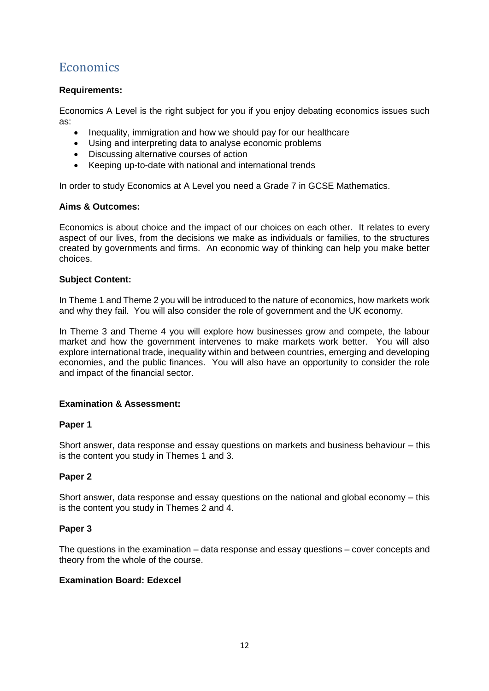# <span id="page-12-0"></span>**Economics**

#### **Requirements:**

Economics A Level is the right subject for you if you enjoy debating economics issues such as:

- Inequality, immigration and how we should pay for our healthcare
- Using and interpreting data to analyse economic problems
- Discussing alternative courses of action
- Keeping up-to-date with national and international trends

In order to study Economics at A Level you need a Grade 7 in GCSE Mathematics.

#### **Aims & Outcomes:**

Economics is about choice and the impact of our choices on each other. It relates to every aspect of our lives, from the decisions we make as individuals or families, to the structures created by governments and firms. An economic way of thinking can help you make better choices.

#### **Subject Content:**

In Theme 1 and Theme 2 you will be introduced to the nature of economics, how markets work and why they fail. You will also consider the role of government and the UK economy.

In Theme 3 and Theme 4 you will explore how businesses grow and compete, the labour market and how the government intervenes to make markets work better. You will also explore international trade, inequality within and between countries, emerging and developing economies, and the public finances. You will also have an opportunity to consider the role and impact of the financial sector.

#### **Examination & Assessment:**

#### **Paper 1**

Short answer, data response and essay questions on markets and business behaviour – this is the content you study in Themes 1 and 3.

#### **Paper 2**

Short answer, data response and essay questions on the national and global economy – this is the content you study in Themes 2 and 4.

#### **Paper 3**

The questions in the examination – data response and essay questions – cover concepts and theory from the whole of the course.

#### **Examination Board: Edexcel**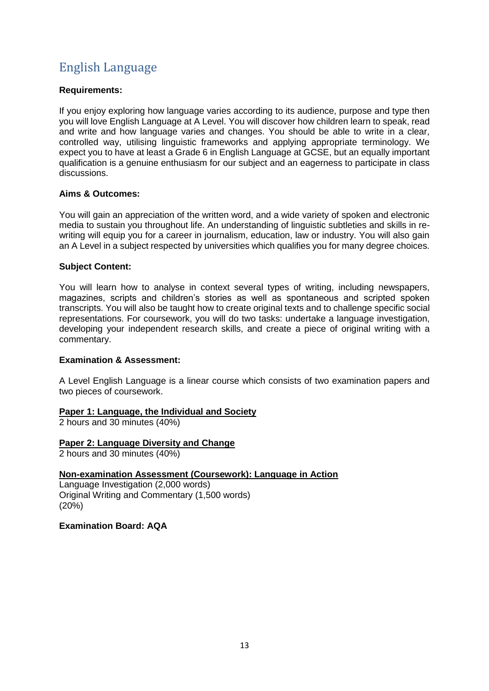# <span id="page-13-0"></span>English Language

## **Requirements:**

If you enjoy exploring how language varies according to its audience, purpose and type then you will love English Language at A Level. You will discover how children learn to speak, read and write and how language varies and changes. You should be able to write in a clear, controlled way, utilising linguistic frameworks and applying appropriate terminology. We expect you to have at least a Grade 6 in English Language at GCSE, but an equally important qualification is a genuine enthusiasm for our subject and an eagerness to participate in class discussions.

## **Aims & Outcomes:**

You will gain an appreciation of the written word, and a wide variety of spoken and electronic media to sustain you throughout life. An understanding of linguistic subtleties and skills in rewriting will equip you for a career in journalism, education, law or industry. You will also gain an A Level in a subject respected by universities which qualifies you for many degree choices.

## **Subject Content:**

You will learn how to analyse in context several types of writing, including newspapers, magazines, scripts and children's stories as well as spontaneous and scripted spoken transcripts. You will also be taught how to create original texts and to challenge specific social representations. For coursework, you will do two tasks: undertake a language investigation, developing your independent research skills, and create a piece of original writing with a commentary.

#### **Examination & Assessment:**

A Level English Language is a linear course which consists of two examination papers and two pieces of coursework.

#### **Paper 1: Language, the Individual and Society**

2 hours and 30 minutes (40%)

## **Paper 2: Language Diversity and Change**

2 hours and 30 minutes (40%)

## **Non-examination Assessment (Coursework): Language in Action**

Language Investigation (2,000 words) Original Writing and Commentary (1,500 words) (20%)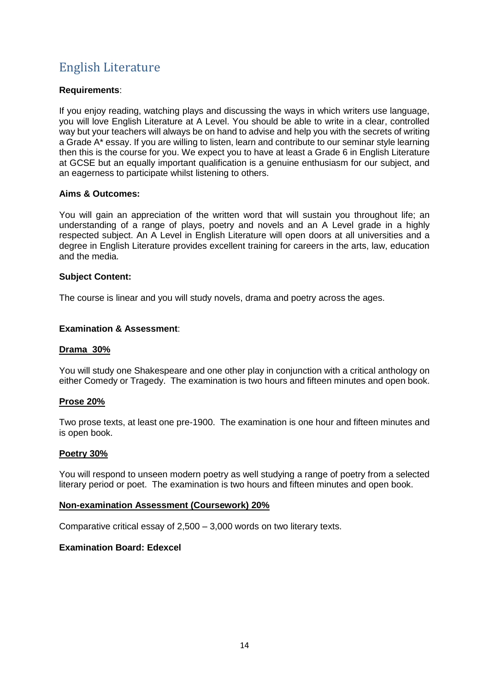# <span id="page-14-0"></span>English Literature

### **Requirements**:

If you enjoy reading, watching plays and discussing the ways in which writers use language, you will love English Literature at A Level. You should be able to write in a clear, controlled way but your teachers will always be on hand to advise and help you with the secrets of writing a Grade A\* essay. If you are willing to listen, learn and contribute to our seminar style learning then this is the course for you. We expect you to have at least a Grade 6 in English Literature at GCSE but an equally important qualification is a genuine enthusiasm for our subject, and an eagerness to participate whilst listening to others.

#### **Aims & Outcomes:**

You will gain an appreciation of the written word that will sustain you throughout life; an understanding of a range of plays, poetry and novels and an A Level grade in a highly respected subject. An A Level in English Literature will open doors at all universities and a degree in English Literature provides excellent training for careers in the arts, law, education and the media.

#### **Subject Content:**

The course is linear and you will study novels, drama and poetry across the ages.

## **Examination & Assessment**:

#### **Drama 30%**

You will study one Shakespeare and one other play in conjunction with a critical anthology on either Comedy or Tragedy. The examination is two hours and fifteen minutes and open book.

#### **Prose 20%**

Two prose texts, at least one pre-1900. The examination is one hour and fifteen minutes and is open book.

#### **Poetry 30%**

You will respond to unseen modern poetry as well studying a range of poetry from a selected literary period or poet. The examination is two hours and fifteen minutes and open book.

#### **Non-examination Assessment (Coursework) 20%**

Comparative critical essay of 2,500 – 3,000 words on two literary texts.

#### **Examination Board: Edexcel**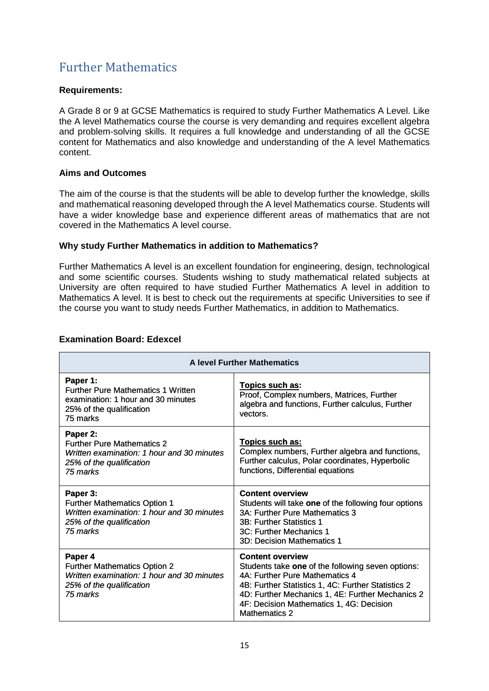# <span id="page-15-0"></span>Further Mathematics

#### **Requirements:**

A Grade 8 or 9 at GCSE Mathematics is required to study Further Mathematics A Level. Like the A level Mathematics course the course is very demanding and requires excellent algebra and problem-solving skills. It requires a full knowledge and understanding of all the GCSE content for Mathematics and also knowledge and understanding of the A level Mathematics content.

## **Aims and Outcomes**

The aim of the course is that the students will be able to develop further the knowledge, skills and mathematical reasoning developed through the A level Mathematics course. Students will have a wider knowledge base and experience different areas of mathematics that are not covered in the Mathematics A level course.

## **Why study Further Mathematics in addition to Mathematics?**

Further Mathematics A level is an excellent foundation for engineering, design, technological and some scientific courses. Students wishing to study mathematical related subjects at University are often required to have studied Further Mathematics A level in addition to Mathematics A level. It is best to check out the requirements at specific Universities to see if the course you want to study needs Further Mathematics, in addition to Mathematics.

| <b>A level Further Mathematics</b>                                                                                                    |                                                                                                                                                                                                                                                                                              |  |
|---------------------------------------------------------------------------------------------------------------------------------------|----------------------------------------------------------------------------------------------------------------------------------------------------------------------------------------------------------------------------------------------------------------------------------------------|--|
| Paper 1:<br><b>Further Pure Mathematics 1 Written</b><br>examination: 1 hour and 30 minutes<br>25% of the qualification<br>75 marks   | Topics such as:<br>Proof, Complex numbers, Matrices, Further<br>algebra and functions, Further calculus, Further<br>vectors.                                                                                                                                                                 |  |
| Paper 2:<br><b>Further Pure Mathematics 2</b><br>Written examination: 1 hour and 30 minutes<br>25% of the qualification<br>75 marks   | Topics such as:<br>Complex numbers, Further algebra and functions,<br>Further calculus, Polar coordinates, Hyperbolic<br>functions, Differential equations                                                                                                                                   |  |
| Paper 3:<br><b>Further Mathematics Option 1</b><br>Written examination: 1 hour and 30 minutes<br>25% of the qualification<br>75 marks | <b>Content overview</b><br>Students will take one of the following four options<br>3A: Further Pure Mathematics 3<br>3B: Further Statistics 1<br>3C: Further Mechanics 1<br>3D: Decision Mathematics 1                                                                                       |  |
| Paper 4<br><b>Further Mathematics Option 2</b><br>Written examination: 1 hour and 30 minutes<br>25% of the qualification<br>75 marks  | <b>Content overview</b><br>Students take one of the following seven options:<br>4A: Further Pure Mathematics 4<br>4B: Further Statistics 1, 4C: Further Statistics 2<br>4D: Further Mechanics 1, 4E: Further Mechanics 2<br>4F: Decision Mathematics 1, 4G: Decision<br><b>Mathematics 2</b> |  |

## **Examination Board: Edexcel**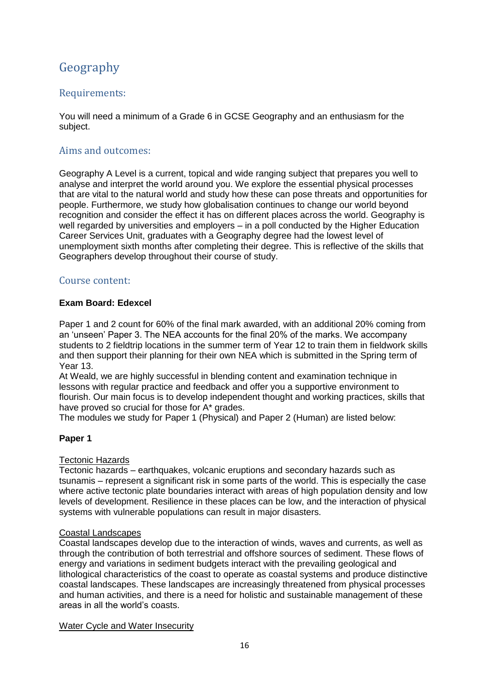# <span id="page-16-0"></span>Geography

## Requirements:

You will need a minimum of a Grade 6 in GCSE Geography and an enthusiasm for the subject.

## Aims and outcomes:

Geography A Level is a current, topical and wide ranging subject that prepares you well to analyse and interpret the world around you. We explore the essential physical processes that are vital to the natural world and study how these can pose threats and opportunities for people. Furthermore, we study how globalisation continues to change our world beyond recognition and consider the effect it has on different places across the world. Geography is well regarded by universities and employers – in a poll conducted by the Higher Education Career Services Unit, graduates with a Geography degree had the lowest level of unemployment sixth months after completing their degree. This is reflective of the skills that Geographers develop throughout their course of study.

## Course content:

#### **Exam Board: Edexcel**

Paper 1 and 2 count for 60% of the final mark awarded, with an additional 20% coming from an 'unseen' Paper 3. The NEA accounts for the final 20% of the marks. We accompany students to 2 fieldtrip locations in the summer term of Year 12 to train them in fieldwork skills and then support their planning for their own NEA which is submitted in the Spring term of Year 13.

At Weald, we are highly successful in blending content and examination technique in lessons with regular practice and feedback and offer you a supportive environment to flourish. Our main focus is to develop independent thought and working practices, skills that have proved so crucial for those for A\* grades.

The modules we study for Paper 1 (Physical) and Paper 2 (Human) are listed below:

## **Paper 1**

#### Tectonic Hazards

Tectonic hazards – earthquakes, volcanic eruptions and secondary hazards such as tsunamis – represent a significant risk in some parts of the world. This is especially the case where active tectonic plate boundaries interact with areas of high population density and low levels of development. Resilience in these places can be low, and the interaction of physical systems with vulnerable populations can result in major disasters.

#### Coastal Landscapes

Coastal landscapes develop due to the interaction of winds, waves and currents, as well as through the contribution of both terrestrial and offshore sources of sediment. These flows of energy and variations in sediment budgets interact with the prevailing geological and lithological characteristics of the coast to operate as coastal systems and produce distinctive coastal landscapes. These landscapes are increasingly threatened from physical processes and human activities, and there is a need for holistic and sustainable management of these areas in all the world's coasts.

Water Cycle and Water Insecurity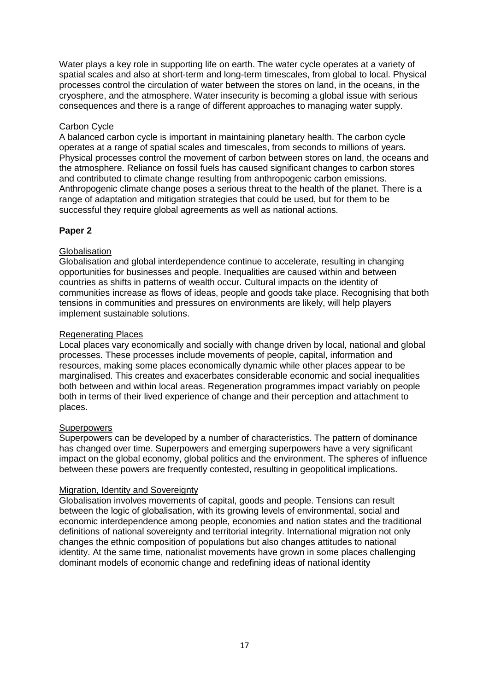Water plays a key role in supporting life on earth. The water cycle operates at a variety of spatial scales and also at short-term and long-term timescales, from global to local. Physical processes control the circulation of water between the stores on land, in the oceans, in the cryosphere, and the atmosphere. Water insecurity is becoming a global issue with serious consequences and there is a range of different approaches to managing water supply.

#### Carbon Cycle

A balanced carbon cycle is important in maintaining planetary health. The carbon cycle operates at a range of spatial scales and timescales, from seconds to millions of years. Physical processes control the movement of carbon between stores on land, the oceans and the atmosphere. Reliance on fossil fuels has caused significant changes to carbon stores and contributed to climate change resulting from anthropogenic carbon emissions. Anthropogenic climate change poses a serious threat to the health of the planet. There is a range of adaptation and mitigation strategies that could be used, but for them to be successful they require global agreements as well as national actions.

## **Paper 2**

#### **Globalisation**

Globalisation and global interdependence continue to accelerate, resulting in changing opportunities for businesses and people. Inequalities are caused within and between countries as shifts in patterns of wealth occur. Cultural impacts on the identity of communities increase as flows of ideas, people and goods take place. Recognising that both tensions in communities and pressures on environments are likely, will help players implement sustainable solutions.

#### Regenerating Places

Local places vary economically and socially with change driven by local, national and global processes. These processes include movements of people, capital, information and resources, making some places economically dynamic while other places appear to be marginalised. This creates and exacerbates considerable economic and social inequalities both between and within local areas. Regeneration programmes impact variably on people both in terms of their lived experience of change and their perception and attachment to places.

#### **Superpowers**

Superpowers can be developed by a number of characteristics. The pattern of dominance has changed over time. Superpowers and emerging superpowers have a very significant impact on the global economy, global politics and the environment. The spheres of influence between these powers are frequently contested, resulting in geopolitical implications.

#### Migration, Identity and Sovereignty

Globalisation involves movements of capital, goods and people. Tensions can result between the logic of globalisation, with its growing levels of environmental, social and economic interdependence among people, economies and nation states and the traditional definitions of national sovereignty and territorial integrity. International migration not only changes the ethnic composition of populations but also changes attitudes to national identity. At the same time, nationalist movements have grown in some places challenging dominant models of economic change and redefining ideas of national identity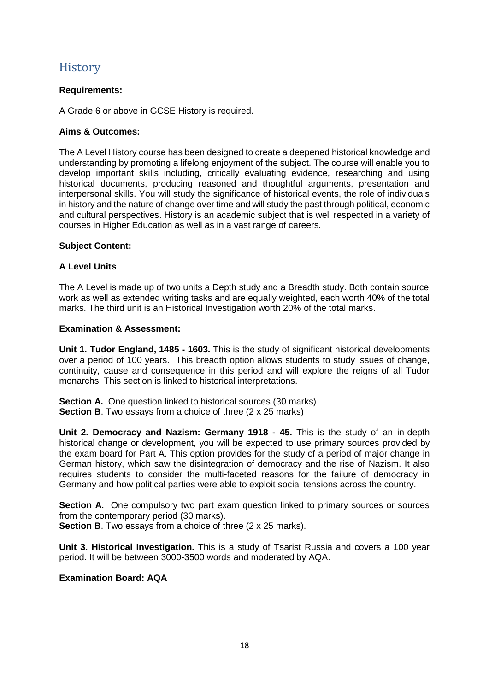## <span id="page-18-0"></span>**History**

## **Requirements:**

A Grade 6 or above in GCSE History is required.

## **Aims & Outcomes:**

The A Level History course has been designed to create a deepened historical knowledge and understanding by promoting a lifelong enjoyment of the subject. The course will enable you to develop important skills including, critically evaluating evidence, researching and using historical documents, producing reasoned and thoughtful arguments, presentation and interpersonal skills. You will study the significance of historical events, the role of individuals in history and the nature of change over time and will study the past through political, economic and cultural perspectives. History is an academic subject that is well respected in a variety of courses in Higher Education as well as in a vast range of careers.

#### **Subject Content:**

## **A Level Units**

The A Level is made up of two units a Depth study and a Breadth study. Both contain source work as well as extended writing tasks and are equally weighted, each worth 40% of the total marks. The third unit is an Historical Investigation worth 20% of the total marks.

## **Examination & Assessment:**

**Unit 1. Tudor England, 1485 - 1603.** This is the study of significant historical developments over a period of 100 years. This breadth option allows students to study issues of change, continuity, cause and consequence in this period and will explore the reigns of all Tudor monarchs. This section is linked to historical interpretations.

**Section A.** One question linked to historical sources (30 marks) **Section B.** Two essays from a choice of three (2 x 25 marks)

**Unit 2. Democracy and Nazism: Germany 1918 - 45.** This is the study of an in-depth historical change or development, you will be expected to use primary sources provided by the exam board for Part A. This option provides for the study of a period of major change in German history, which saw the disintegration of democracy and the rise of Nazism. It also requires students to consider the multi-faceted reasons for the failure of democracy in Germany and how political parties were able to exploit social tensions across the country.

**Section A.** One compulsory two part exam question linked to primary sources or sources from the contemporary period (30 marks).

**Section B.** Two essays from a choice of three (2 x 25 marks).

**Unit 3. Historical Investigation.** This is a study of Tsarist Russia and covers a 100 year period. It will be between 3000-3500 words and moderated by AQA.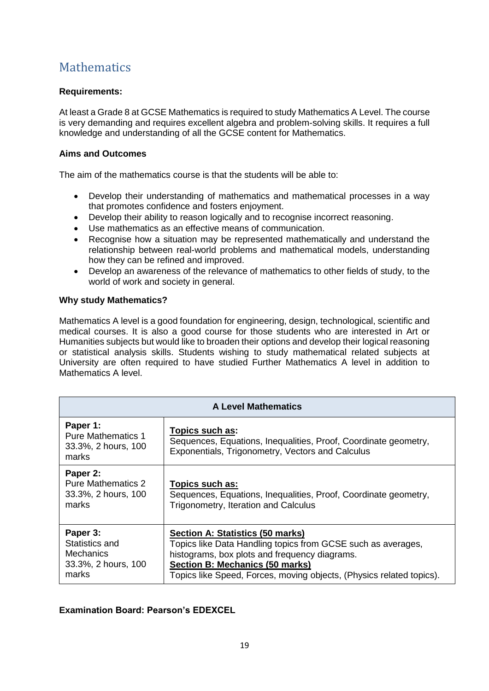# <span id="page-19-0"></span>**Mathematics**

## **Requirements:**

At least a Grade 8 at GCSE Mathematics is required to study Mathematics A Level. The course is very demanding and requires excellent algebra and problem-solving skills. It requires a full knowledge and understanding of all the GCSE content for Mathematics.

#### **Aims and Outcomes**

The aim of the mathematics course is that the students will be able to:

- Develop their understanding of mathematics and mathematical processes in a way that promotes confidence and fosters enjoyment.
- Develop their ability to reason logically and to recognise incorrect reasoning.
- Use mathematics as an effective means of communication.
- Recognise how a situation may be represented mathematically and understand the relationship between real-world problems and mathematical models, understanding how they can be refined and improved.
- Develop an awareness of the relevance of mathematics to other fields of study, to the world of work and society in general.

#### **Why study Mathematics?**

Mathematics A level is a good foundation for engineering, design, technological, scientific and medical courses. It is also a good course for those students who are interested in Art or Humanities subjects but would like to broaden their options and develop their logical reasoning or statistical analysis skills. Students wishing to study mathematical related subjects at University are often required to have studied Further Mathematics A level in addition to Mathematics A level.

| <b>A Level Mathematics</b>                                                     |                                                                                                                                                                                                                                                                     |  |  |
|--------------------------------------------------------------------------------|---------------------------------------------------------------------------------------------------------------------------------------------------------------------------------------------------------------------------------------------------------------------|--|--|
| Paper 1:<br><b>Pure Mathematics 1</b><br>33.3%, 2 hours, 100<br>marks          | Topics such as:<br>Sequences, Equations, Inequalities, Proof, Coordinate geometry,<br>Exponentials, Trigonometry, Vectors and Calculus                                                                                                                              |  |  |
| Paper 2:<br><b>Pure Mathematics 2</b><br>33.3%, 2 hours, 100<br>marks          | Topics such as:<br>Sequences, Equations, Inequalities, Proof, Coordinate geometry,<br>Trigonometry, Iteration and Calculus                                                                                                                                          |  |  |
| Paper 3:<br>Statistics and<br><b>Mechanics</b><br>33.3%, 2 hours, 100<br>marks | Section A: Statistics (50 marks)<br>Topics like Data Handling topics from GCSE such as averages,<br>histograms, box plots and frequency diagrams.<br><b>Section B: Mechanics (50 marks)</b><br>Topics like Speed, Forces, moving objects, (Physics related topics). |  |  |

## **Examination Board: Pearson's EDEXCEL**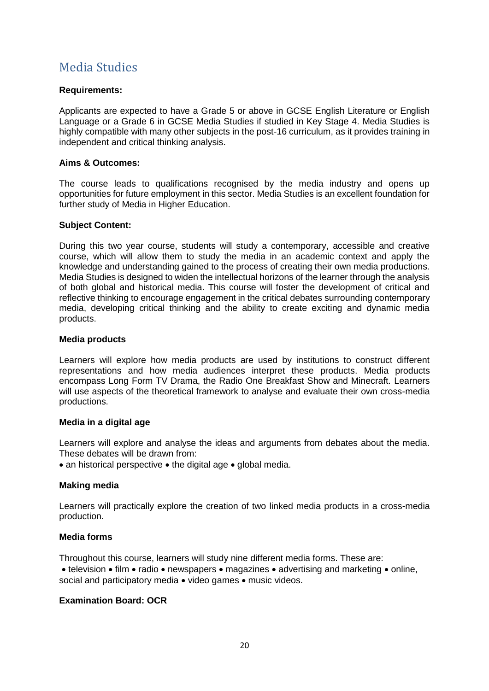## <span id="page-20-0"></span>Media Studies

#### **Requirements:**

Applicants are expected to have a Grade 5 or above in GCSE English Literature or English Language or a Grade 6 in GCSE Media Studies if studied in Key Stage 4. Media Studies is highly compatible with many other subjects in the post-16 curriculum, as it provides training in independent and critical thinking analysis.

#### **Aims & Outcomes:**

The course leads to qualifications recognised by the media industry and opens up opportunities for future employment in this sector. Media Studies is an excellent foundation for further study of Media in Higher Education.

#### **Subject Content:**

During this two year course, students will study a contemporary, accessible and creative course, which will allow them to study the media in an academic context and apply the knowledge and understanding gained to the process of creating their own media productions. Media Studies is designed to widen the intellectual horizons of the learner through the analysis of both global and historical media. This course will foster the development of critical and reflective thinking to encourage engagement in the critical debates surrounding contemporary media, developing critical thinking and the ability to create exciting and dynamic media products.

#### **Media products**

Learners will explore how media products are used by institutions to construct different representations and how media audiences interpret these products. Media products encompass Long Form TV Drama, the Radio One Breakfast Show and Minecraft. Learners will use aspects of the theoretical framework to analyse and evaluate their own cross-media productions.

#### **Media in a digital age**

Learners will explore and analyse the ideas and arguments from debates about the media. These debates will be drawn from:

• an historical perspective • the digital age • global media.

#### **Making media**

Learners will practically explore the creation of two linked media products in a cross-media production.

#### **Media forms**

Throughout this course, learners will study nine different media forms. These are:

 $\bullet$  television  $\bullet$  film  $\bullet$  radio  $\bullet$  newspapers  $\bullet$  magazines  $\bullet$  advertising and marketing  $\bullet$  online, social and participatory media  $\bullet$  video games  $\bullet$  music videos.

#### **Examination Board: OCR**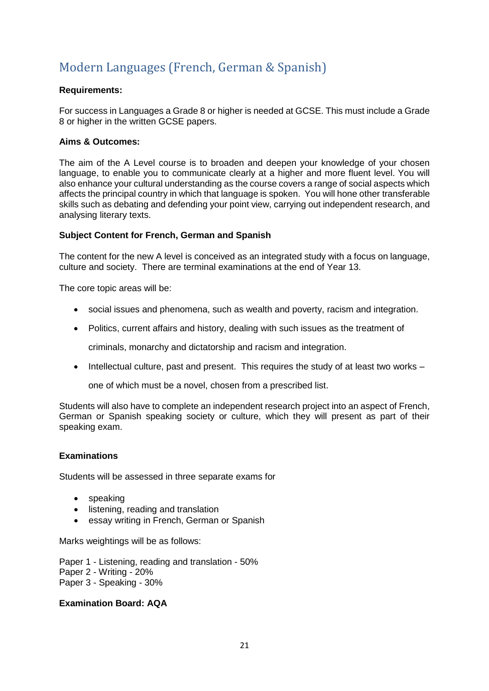# <span id="page-21-0"></span>Modern Languages (French, German & Spanish)

#### **Requirements:**

For success in Languages a Grade 8 or higher is needed at GCSE. This must include a Grade 8 or higher in the written GCSE papers.

#### **Aims & Outcomes:**

The aim of the A Level course is to broaden and deepen your knowledge of your chosen language, to enable you to communicate clearly at a higher and more fluent level. You will also enhance your cultural understanding as the course covers a range of social aspects which affects the principal country in which that language is spoken. You will hone other transferable skills such as debating and defending your point view, carrying out independent research, and analysing literary texts.

## **Subject Content for French, German and Spanish**

The content for the new A level is conceived as an integrated study with a focus on language, culture and society. There are terminal examinations at the end of Year 13.

The core topic areas will be:

- social issues and phenomena, such as wealth and poverty, racism and integration.
- Politics, current affairs and history, dealing with such issues as the treatment of

criminals, monarchy and dictatorship and racism and integration.

 $\bullet$  Intellectual culture, past and present. This requires the study of at least two works –

one of which must be a novel, chosen from a prescribed list.

Students will also have to complete an independent research project into an aspect of French, German or Spanish speaking society or culture, which they will present as part of their speaking exam.

#### **Examinations**

Students will be assessed in three separate exams for

- speaking
- listening, reading and translation
- essay writing in French, German or Spanish

Marks weightings will be as follows:

Paper 1 - Listening, reading and translation - 50% Paper 2 - Writing - 20% Paper 3 - Speaking - 30%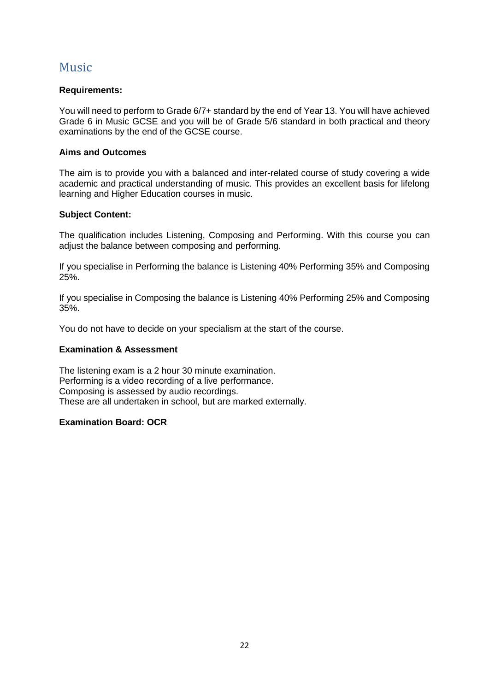## <span id="page-22-0"></span>Music

## **Requirements:**

You will need to perform to Grade 6/7+ standard by the end of Year 13. You will have achieved Grade 6 in Music GCSE and you will be of Grade 5/6 standard in both practical and theory examinations by the end of the GCSE course.

#### **Aims and Outcomes**

The aim is to provide you with a balanced and inter-related course of study covering a wide academic and practical understanding of music. This provides an excellent basis for lifelong learning and Higher Education courses in music.

## **Subject Content:**

The qualification includes Listening, Composing and Performing. With this course you can adjust the balance between composing and performing.

If you specialise in Performing the balance is Listening 40% Performing 35% and Composing 25%.

If you specialise in Composing the balance is Listening 40% Performing 25% and Composing 35%.

You do not have to decide on your specialism at the start of the course.

### **Examination & Assessment**

The listening exam is a 2 hour 30 minute examination. Performing is a video recording of a live performance. Composing is assessed by audio recordings. These are all undertaken in school, but are marked externally.

#### **Examination Board: OCR**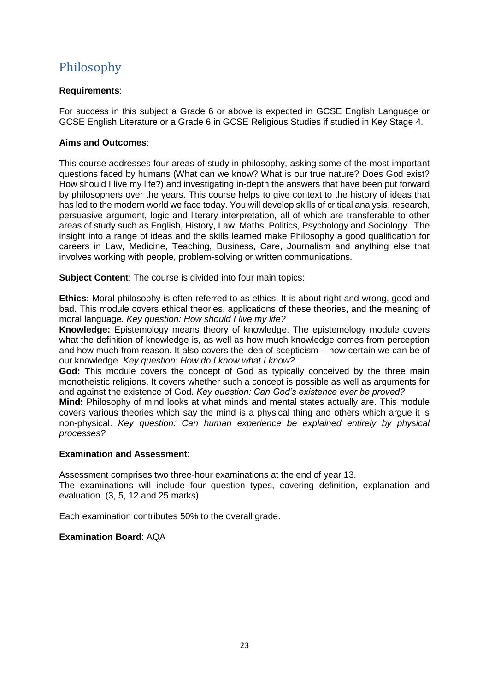# <span id="page-23-0"></span>Philosophy

### **Requirements**:

For success in this subject a Grade 6 or above is expected in GCSE English Language or GCSE English Literature or a Grade 6 in GCSE Religious Studies if studied in Key Stage 4.

#### **Aims and Outcomes**:

This course addresses four areas of study in philosophy, asking some of the most important questions faced by humans (What can we know? What is our true nature? Does God exist? How should I live my life?) and investigating in-depth the answers that have been put forward by philosophers over the years. This course helps to give context to the history of ideas that has led to the modern world we face today. You will develop skills of critical analysis, research, persuasive argument, logic and literary interpretation, all of which are transferable to other areas of study such as English, History, Law, Maths, Politics, Psychology and Sociology. The insight into a range of ideas and the skills learned make Philosophy a good qualification for careers in Law, Medicine, Teaching, Business, Care, Journalism and anything else that involves working with people, problem-solving or written communications.

**Subject Content:** The course is divided into four main topics:

**Ethics:** Moral philosophy is often referred to as ethics. It is about right and wrong, good and bad. This module covers ethical theories, applications of these theories, and the meaning of moral language. *Key question: How should I live my life?*

**Knowledge:** Epistemology means theory of knowledge. The epistemology module covers what the definition of knowledge is, as well as how much knowledge comes from perception and how much from reason. It also covers the idea of scepticism  $-$  how certain we can be of our knowledge. *Key question: How do I know what I know?*

**God:** This module covers the concept of God as typically conceived by the three main monotheistic religions. It covers whether such a concept is possible as well as arguments for and against the existence of God. *Key question: Can God's existence ever be proved?*

**Mind:** Philosophy of mind looks at what minds and mental states actually are. This module covers various theories which say the mind is a physical thing and others which argue it is non-physical. *Key question: Can human experience be explained entirely by physical processes?*

#### **Examination and Assessment**:

Assessment comprises two three-hour examinations at the end of year 13.

The examinations will include four question types, covering definition, explanation and evaluation. (3, 5, 12 and 25 marks)

Each examination contributes 50% to the overall grade.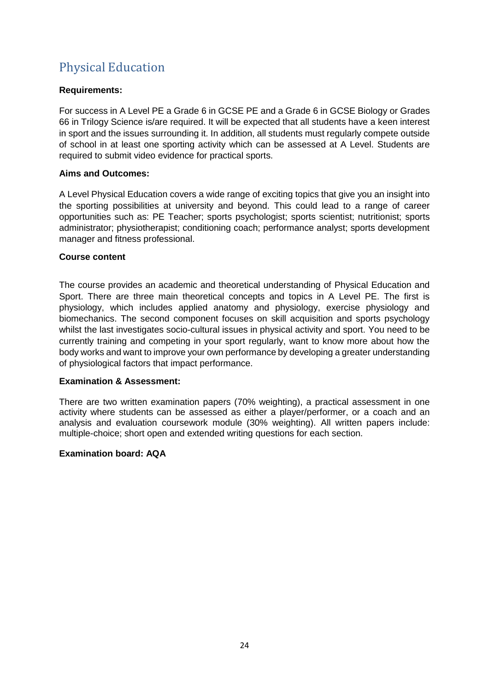# Physical Education

## **Requirements:**

For success in A Level PE a Grade 6 in GCSE PE and a Grade 6 in GCSE Biology or Grades 66 in Trilogy Science is/are required. It will be expected that all students have a keen interest in sport and the issues surrounding it. In addition, all students must regularly compete outside of school in at least one sporting activity which can be assessed at A Level. Students are required to submit video evidence for practical sports.

#### **Aims and Outcomes:**

A Level Physical Education covers a wide range of exciting topics that give you an insight into the sporting possibilities at university and beyond. This could lead to a range of career opportunities such as: PE Teacher; sports psychologist; sports scientist; nutritionist; sports administrator; physiotherapist; conditioning coach; performance analyst; sports development manager and fitness professional.

## **Course content**

The course provides an academic and theoretical understanding of Physical Education and Sport. There are three main theoretical concepts and topics in A Level PE. The first is physiology, which includes applied anatomy and physiology, exercise physiology and biomechanics. The second component focuses on skill acquisition and sports psychology whilst the last investigates socio-cultural issues in physical activity and sport. You need to be currently training and competing in your sport regularly, want to know more about how the body works and want to improve your own performance by developing a greater understanding of physiological factors that impact performance.

#### **Examination & Assessment:**

There are two written examination papers (70% weighting), a practical assessment in one activity where students can be assessed as either a player/performer, or a coach and an analysis and evaluation coursework module (30% weighting). All written papers include: multiple-choice; short open and extended writing questions for each section.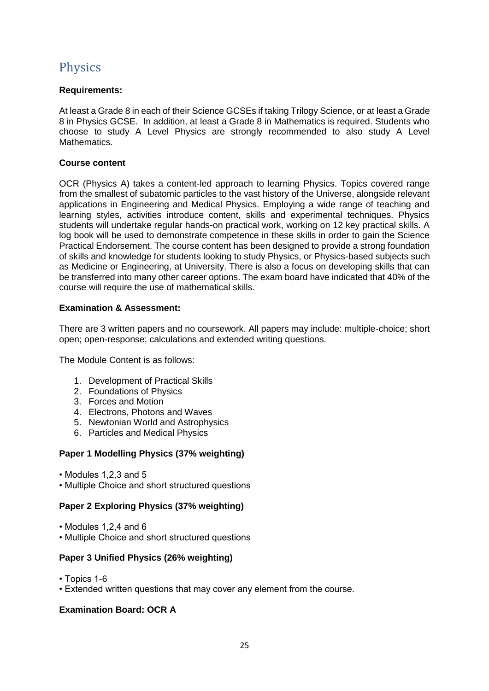# <span id="page-25-0"></span>**Physics**

## **Requirements:**

At least a Grade 8 in each of their Science GCSEs if taking Trilogy Science, or at least a Grade 8 in Physics GCSE. In addition, at least a Grade 8 in Mathematics is required. Students who choose to study A Level Physics are strongly recommended to also study A Level Mathematics.

## **Course content**

OCR (Physics A) takes a content-led approach to learning Physics. Topics covered range from the smallest of subatomic particles to the vast history of the Universe, alongside relevant applications in Engineering and Medical Physics. Employing a wide range of teaching and learning styles, activities introduce content, skills and experimental techniques. Physics students will undertake regular hands-on practical work, working on 12 key practical skills. A log book will be used to demonstrate competence in these skills in order to gain the Science Practical Endorsement. The course content has been designed to provide a strong foundation of skills and knowledge for students looking to study Physics, or Physics-based subjects such as Medicine or Engineering, at University. There is also a focus on developing skills that can be transferred into many other career options. The exam board have indicated that 40% of the course will require the use of mathematical skills.

## **Examination & Assessment:**

There are 3 written papers and no coursework. All papers may include: multiple-choice; short open; open-response; calculations and extended writing questions.

The Module Content is as follows:

- 1. Development of Practical Skills
- 2. Foundations of Physics
- 3. Forces and Motion
- 4. Electrons, Photons and Waves
- 5. Newtonian World and Astrophysics
- 6. Particles and Medical Physics

#### **Paper 1 Modelling Physics (37% weighting)**

- Modules 1,2,3 and 5
- Multiple Choice and short structured questions

#### **Paper 2 Exploring Physics (37% weighting)**

- Modules 1,2,4 and 6
- Multiple Choice and short structured questions

#### **Paper 3 Unified Physics (26% weighting)**

- Topics 1-6
- Extended written questions that may cover any element from the course.

#### **Examination Board: OCR A**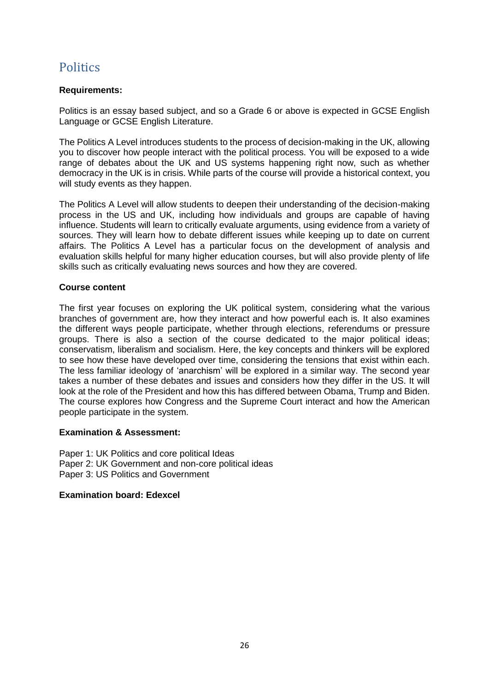## <span id="page-26-0"></span>**Politics**

### **Requirements:**

Politics is an essay based subject, and so a Grade 6 or above is expected in GCSE English Language or GCSE English Literature.

The Politics A Level introduces students to the process of decision-making in the UK, allowing you to discover how people interact with the political process. You will be exposed to a wide range of debates about the UK and US systems happening right now, such as whether democracy in the UK is in crisis. While parts of the course will provide a historical context, you will study events as they happen.

The Politics A Level will allow students to deepen their understanding of the decision-making process in the US and UK, including how individuals and groups are capable of having influence. Students will learn to critically evaluate arguments, using evidence from a variety of sources. They will learn how to debate different issues while keeping up to date on current affairs. The Politics A Level has a particular focus on the development of analysis and evaluation skills helpful for many higher education courses, but will also provide plenty of life skills such as critically evaluating news sources and how they are covered.

## **Course content**

The first year focuses on exploring the UK political system, considering what the various branches of government are, how they interact and how powerful each is. It also examines the different ways people participate, whether through elections, referendums or pressure groups. There is also a section of the course dedicated to the major political ideas; conservatism, liberalism and socialism. Here, the key concepts and thinkers will be explored to see how these have developed over time, considering the tensions that exist within each. The less familiar ideology of 'anarchism' will be explored in a similar way. The second year takes a number of these debates and issues and considers how they differ in the US. It will look at the role of the President and how this has differed between Obama, Trump and Biden. The course explores how Congress and the Supreme Court interact and how the American people participate in the system.

#### **Examination & Assessment:**

Paper 1: UK Politics and core political Ideas Paper 2: UK Government and non-core political ideas Paper 3: US Politics and Government

#### **Examination board: Edexcel**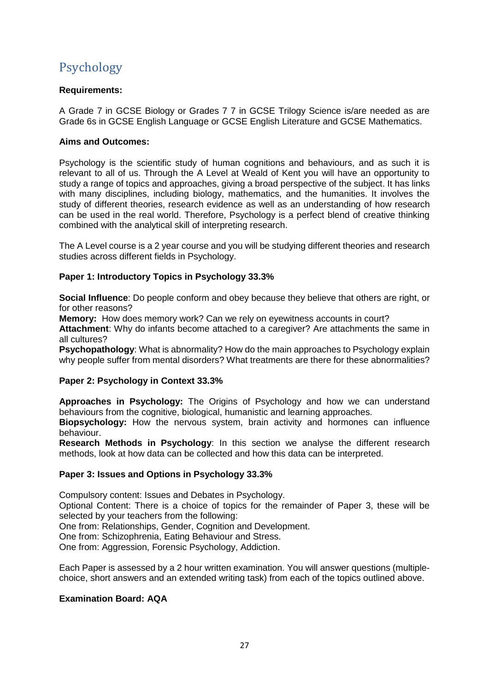# <span id="page-27-0"></span>Psychology

### **Requirements:**

A Grade 7 in GCSE Biology or Grades 7 7 in GCSE Trilogy Science is/are needed as are Grade 6s in GCSE English Language or GCSE English Literature and GCSE Mathematics.

#### **Aims and Outcomes:**

Psychology is the scientific study of human cognitions and behaviours, and as such it is relevant to all of us. Through the A Level at Weald of Kent you will have an opportunity to study a range of topics and approaches, giving a broad perspective of the subject. It has links with many disciplines, including biology, mathematics, and the humanities. It involves the study of different theories, research evidence as well as an understanding of how research can be used in the real world. Therefore, Psychology is a perfect blend of creative thinking combined with the analytical skill of interpreting research.

The A Level course is a 2 year course and you will be studying different theories and research studies across different fields in Psychology.

#### **Paper 1: Introductory Topics in Psychology 33.3%**

**Social Influence**: Do people conform and obey because they believe that others are right, or for other reasons?

**Memory:** How does memory work? Can we rely on eyewitness accounts in court?

**Attachment**: Why do infants become attached to a caregiver? Are attachments the same in all cultures?

**Psychopathology:** What is abnormality? How do the main approaches to Psychology explain why people suffer from mental disorders? What treatments are there for these abnormalities?

#### **Paper 2: Psychology in Context 33.3%**

**Approaches in Psychology:** The Origins of Psychology and how we can understand behaviours from the cognitive, biological, humanistic and learning approaches.

**Biopsychology:** How the nervous system, brain activity and hormones can influence behaviour.

**Research Methods in Psychology**: In this section we analyse the different research methods, look at how data can be collected and how this data can be interpreted.

#### **Paper 3: Issues and Options in Psychology 33.3%**

Compulsory content: Issues and Debates in Psychology.

Optional Content: There is a choice of topics for the remainder of Paper 3, these will be selected by your teachers from the following:

One from: Relationships, Gender, Cognition and Development.

One from: Schizophrenia, Eating Behaviour and Stress.

One from: Aggression, Forensic Psychology, Addiction.

Each Paper is assessed by a 2 hour written examination. You will answer questions (multiplechoice, short answers and an extended writing task) from each of the topics outlined above.